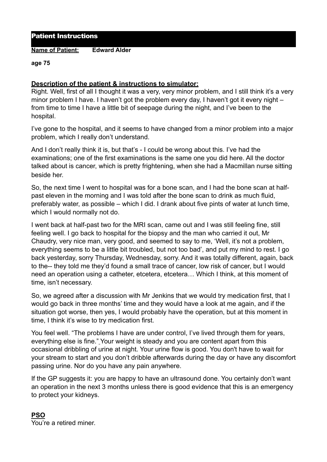Patient Instructions

**Name of Patient: Edward Alder**

**age 75** 

## **Description of the patient & instructions to simulator:**

Right. Well, first of all I thought it was a very, very minor problem, and I still think it's a very minor problem I have. I haven't got the problem every day, I haven't got it every night – from time to time I have a little bit of seepage during the night, and I've been to the hospital.

I've gone to the hospital, and it seems to have changed from a minor problem into a major problem, which I really don't understand.

And I don't really think it is, but that's - I could be wrong about this. I've had the examinations; one of the first examinations is the same one you did here. All the doctor talked about is cancer, which is pretty frightening, when she had a Macmillan nurse sitting beside her.

So, the next time I went to hospital was for a bone scan, and I had the bone scan at halfpast eleven in the morning and I was told after the bone scan to drink as much fluid, preferably water, as possible – which I did. I drank about five pints of water at lunch time, which I would normally not do.

I went back at half-past two for the MRI scan, came out and I was still feeling fine, still feeling well. I go back to hospital for the biopsy and the man who carried it out, Mr Chaudry, very nice man, very good, and seemed to say to me, 'Well, it's not a problem, everything seems to be a little bit troubled, but not too bad', and put my mind to rest. I go back yesterday, sorry Thursday, Wednesday, sorry. And it was totally different, again, back to the-- they told me they'd found a small trace of cancer, low risk of cancer, but I would need an operation using a catheter, etcetera, etcetera… Which I think, at this moment of time, isn't necessary.

So, we agreed after a discussion with Mr Jenkins that we would try medication first, that I would go back in three months' time and they would have a look at me again, and if the situation got worse, then yes, I would probably have the operation, but at this moment in time, I think it's wise to try medication first.

You feel well. "The problems I have are under control, I've lived through them for years, everything else is fine." Your weight is steady and you are content apart from this occasional dribbling of urine at night. Your urine flow is good. You don't have to wait for your stream to start and you don't dribble afterwards during the day or have any discomfort passing urine. Nor do you have any pain anywhere.

If the GP suggests it: you are happy to have an ultrasound done. You certainly don't want an operation in the next 3 months unless there is good evidence that this is an emergency to protect your kidneys.

**PSO**  You're a retired miner.